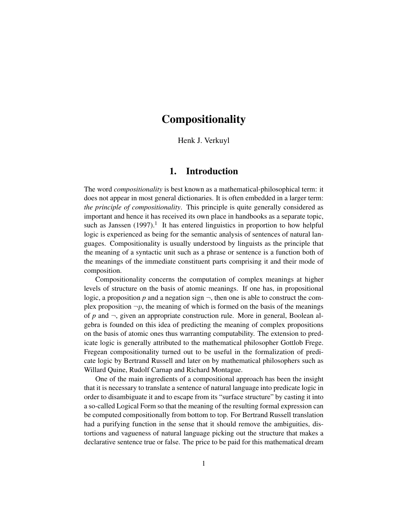# **Compositionality**

Henk J. Verkuyl

## 1. Introduction

The word *compositionality* is best known as a mathematical-philosophical term: it does not appear in most general dictionaries. It is often embedded in a larger term: *the principle of compositionality*. This principle is quite generally considered as important and hence it has received its own place in handbooks as a separate topic, such as Janssen  $(1997)$ .<sup>1</sup> It has entered linguistics in proportion to how helpful logic is experienced as being for the semantic analysis of sentences of natural languages. Compositionality is usually understood by linguists as the principle that the meaning of a syntactic unit such as a phrase or sentence is a function both of the meanings of the immediate constituent parts comprising it and their mode of composition.

Compositionality concerns the computation of complex meanings at higher levels of structure on the basis of atomic meanings. If one has, in propositional logic, a proposition p and a negation sign  $\neg$ , then one is able to construct the complex proposition  $\neg p$ , the meaning of which is formed on the basis of the meanings of  $p$  and  $\neg$ , given an appropriate construction rule. More in general, Boolean algebra is founded on this idea of predicting the meaning of complex propositions on the basis of atomic ones thus warranting computability. The extension to predicate logic is generally attributed to the mathematical philosopher Gottlob Frege. Fregean compositionality turned out to be useful in the formalization of predicate logic by Bertrand Russell and later on by mathematical philosophers such as Willard Quine, Rudolf Carnap and Richard Montague.

One of the main ingredients of a compositional approach has been the insight that it is necessary to translate a sentence of natural language into predicate logic in order to disambiguate it and to escape from its "surface structure" by casting it into a so-called Logical Form so that the meaning of the resulting formal expression can be computed compositionally from bottom to top. For Bertrand Russell translation had a purifying function in the sense that it should remove the ambiguities, distortions and vagueness of natural language picking out the structure that makes a declarative sentence true or false. The price to be paid for this mathematical dream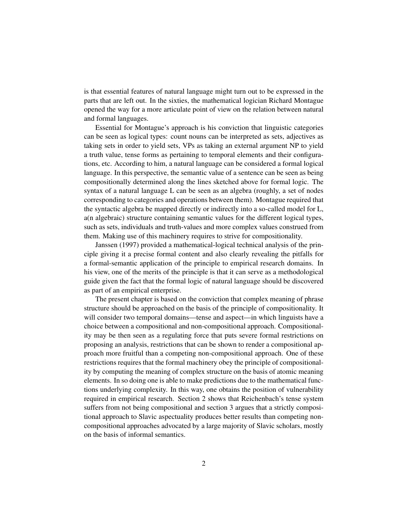is that essential features of natural language might turn out to be expressed in the parts that are left out. In the sixties, the mathematical logician Richard Montague opened the way for a more articulate point of view on the relation between natural and formal languages.

Essential for Montague's approach is his conviction that linguistic categories can be seen as logical types: count nouns can be interpreted as sets, adjectives as taking sets in order to yield sets, VPs as taking an external argument NP to yield a truth value, tense forms as pertaining to temporal elements and their configurations, etc. According to him, a natural language can be considered a formal logical language. In this perspective, the semantic value of a sentence can be seen as being compositionally determined along the lines sketched above for formal logic. The syntax of a natural language L can be seen as an algebra (roughly, a set of nodes corresponding to categories and operations between them). Montague required that the syntactic algebra be mapped directly or indirectly into a so-called model for L, a(n algebraic) structure containing semantic values for the different logical types, such as sets, individuals and truth-values and more complex values construed from them. Making use of this machinery requires to strive for compositionality.

Janssen (1997) provided a mathematical-logical technical analysis of the principle giving it a precise formal content and also clearly revealing the pitfalls for a formal-semantic application of the principle to empirical research domains. In his view, one of the merits of the principle is that it can serve as a methodological guide given the fact that the formal logic of natural language should be discovered as part of an empirical enterprise.

The present chapter is based on the conviction that complex meaning of phrase structure should be approached on the basis of the principle of compositionality. It will consider two temporal domains—tense and aspect—in which linguists have a choice between a compositional and non-compositional approach. Compositionality may be then seen as a regulating force that puts severe formal restrictions on proposing an analysis, restrictions that can be shown to render a compositional approach more fruitful than a competing non-compositional approach. One of these restrictions requires that the formal machinery obey the principle of compositionality by computing the meaning of complex structure on the basis of atomic meaning elements. In so doing one is able to make predictions due to the mathematical functions underlying complexity. In this way, one obtains the position of vulnerability required in empirical research. Section 2 shows that Reichenbach's tense system suffers from not being compositional and section 3 argues that a strictly compositional approach to Slavic aspectuality produces better results than competing noncompositional approaches advocated by a large majority of Slavic scholars, mostly on the basis of informal semantics.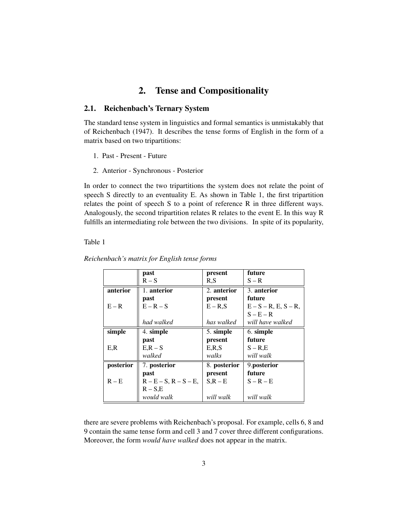## 2. Tense and Compositionality

#### 2.1. Reichenbach's Ternary System

The standard tense system in linguistics and formal semantics is unmistakably that of Reichenbach (1947). It describes the tense forms of English in the form of a matrix based on two tripartitions:

- 1. Past Present Future
- 2. Anterior Synchronous Posterior

In order to connect the two tripartitions the system does not relate the point of speech S directly to an eventuality E. As shown in Table 1, the first tripartition relates the point of speech S to a point of reference R in three different ways. Analogously, the second tripartition relates R relates to the event E. In this way R fulfills an intermediating role between the two divisions. In spite of its popularity,

Table 1

|           | past                        | present      | future                     |
|-----------|-----------------------------|--------------|----------------------------|
|           | $R-S$                       | R.S          | $S - R$                    |
| anterior  | 1. anterior                 | 2. anterior  | 3. anterior                |
|           | past                        | present      | future                     |
| $E - R$   | $E - R - S$                 | $E - R.S$    | $E - S - R$ , E, $S - R$ , |
|           |                             |              | $S - E - R$                |
|           | had walked                  | has walked   | will have walked           |
| simple    | 4. simple                   | 5. simple    | 6. simple                  |
|           | past                        | present      | future                     |
| E.R       | $E, R - S$                  | E, R, S      | $S - R.E$                  |
|           | walked                      | walks        | will walk                  |
| posterior | 7. posterior                | 8. posterior | 9.posterior                |
|           | past                        | present      | future                     |
| $R - E$   | $R - E - S$ , $R - S - E$ , | $S.R - E$    | $S - R - E$                |
|           | $R - S.E$                   |              |                            |
|           | would walk                  | will walk    | will walk                  |

*Reichenbach's matrix for English tense forms*

there are severe problems with Reichenbach's proposal. For example, cells 6, 8 and 9 contain the same tense form and cell 3 and 7 cover three different configurations. Moreover, the form *would have walked* does not appear in the matrix.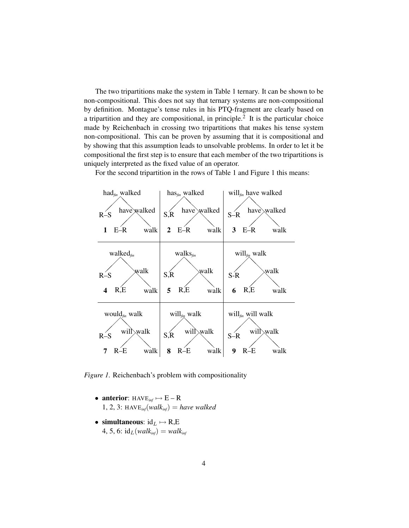The two tripartitions make the system in Table 1 ternary. It can be shown to be non-compositional. This does not say that ternary systems are non-compositional by definition. Montague's tense rules in his PTQ-fragment are clearly based on a tripartition and they are compositional, in principle.<sup>2</sup> It is the particular choice made by Reichenbach in crossing two tripartitions that makes his tense system non-compositional. This can be proven by assuming that it is compositional and by showing that this assumption leads to unsolvable problems. In order to let it be compositional the first step is to ensure that each member of the two tripartitions is uniquely interpreted as the fixed value of an operator.

For the second tripartition in the rows of Table 1 and Figure 1 this means:



*Figure 1.* Reichenbach's problem with compositionality

- **anterior**:  $HAVE<sub>inf</sub> \rightarrow E R$ 1, 2, 3: HAV $E_{inf}(walk_{inf}) = have$  *walked*
- simultaneous:  $id_L \mapsto R,E$ 4, 5, 6:  $id_L(walk_{inf}) = walk_{inf}$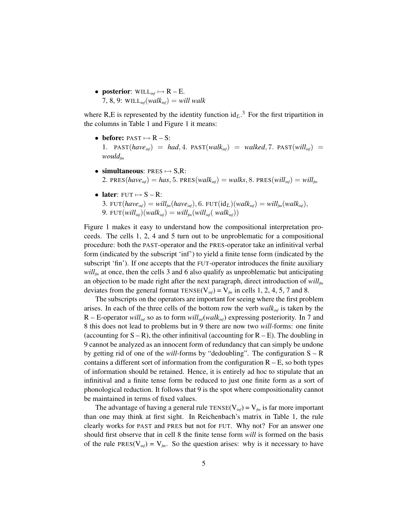• **posterior**: WILL<sub>inf</sub>  $\rightarrow$  R – E. 7, 8, 9: WILL<sub>inf</sub> $(walk_{\text{inf}}) = will walk$ 

where R,E is represented by the identity function  $id_L$ <sup>3</sup>. For the first tripartition in the columns in Table 1 and Figure 1 it means:

- before:  $PAST \rightarrow R S$ : 1. PAST( $have_{inf}$ ) =  $had$ , 4. PAST( $walk_{inf}$ ) =  $walk_{inf}$ , 7. PAST( $will_{inf}$ ) = *wouldfin*
- simultaneous:  $PRES \rightarrow S,R$ : 2. PRES( $have_{\text{inf}}$ ) = has, 5. PRES( $walk_{\text{inf}}$ ) =  $walk_{s}$ , 8. PRES( $will_{\text{inf}}$ ) =  $will_{\text{fin}}$
- later:  $FUT \mapsto S R$ : 3. FUT $(have_{inf}) = will_{fin}(have_{inf}), 6$ . FUT $(id_L)(walk_{inf}) = will_{fin}(walk_{inf}),$ 9. FUT $(will_{\text{inf}})(walk_{\text{inf}}) = will_{\text{fin}}(will_{\text{inf}}(walk_{\text{inf}}))$

Figure 1 makes it easy to understand how the compositional interpretation proceeds. The cells 1, 2, 4 and 5 turn out to be unproblematic for a compositional procedure: both the PAST-operator and the PRES-operator take an infinitival verbal form (indicated by the subscript 'inf') to yield a finite tense form (indicated by the subscript 'fin'). If one accepts that the FUT-operator introduces the finite auxiliary  $will<sub>fin</sub>$  at once, then the cells 3 and 6 also qualify as unproblematic but anticipating an objection to be made right after the next paragraph, direct introduction of *willfin* deviates from the general format  $TENSE(V_{inf}) = V_{fin}$  in cells 1, 2, 4, 5, 7 and 8.

The subscripts on the operators are important for seeing where the first problem arises. In each of the three cells of the bottom row the verb *walkinf* is taken by the R – E-operator *willinf* so as to form *willinf*(*walkinf*) expressing posteriority. In 7 and 8 this does not lead to problems but in 9 there are now two *will*-forms: one finite (accounting for  $S - R$ ), the other infinitival (accounting for  $R - E$ ). The doubling in 9 cannot be analyzed as an innocent form of redundancy that can simply be undone by getting rid of one of the *will*-forms by "dedoubling". The configuration S – R contains a different sort of information from the configuration  $R - E$ , so both types of information should be retained. Hence, it is entirely ad hoc to stipulate that an infinitival and a finite tense form be reduced to just one finite form as a sort of phonological reduction. It follows that 9 is the spot where compositionality cannot be maintained in terms of fixed values.

The advantage of having a general rule  $TENSE(V_{inf}) = V_{fin}$  is far more important than one may think at first sight. In Reichenbach's matrix in Table 1, the rule clearly works for PAST and PRES but not for FUT. Why not? For an answer one should first observe that in cell 8 the finite tense form *will* is formed on the basis of the rule PRES( $V_{inf}$ ) =  $V_{fin}$ . So the question arises: why is it necessary to have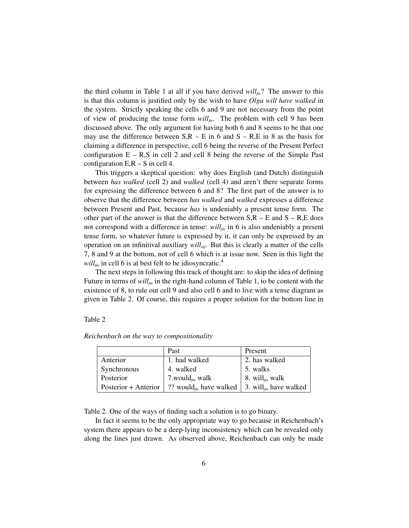the third column in Table 1 at all if you have derived *willfin*? The answer to this is that this column is justified only by the wish to have *Olga will have walked* in the system. Strictly speaking the cells 6 and 9 are not necessary from the point of view of producing the tense form *willfin*. The problem with cell 9 has been discussed above. The only argument for having both 6 and 8 seems to be that one may use the difference between  $S, R - E$  in 6 and  $S - R, E$  in 8 as the basis for claiming a difference in perspective, cell 6 being the reverse of the Present Perfect configuration  $E - R$ , S in cell 2 and cell 8 being the reverse of the Simple Past configuration  $E, R - S$  in cell 4.

This triggers a skeptical question: why does English (and Dutch) distinguish between *has walked* (cell 2) and *walked* (cell 4) and aren't there separate forms for expressing the difference between 6 and 8? The first part of the answer is to observe that the difference between *has walked* and *walked* expresses a difference between Present and Past, because *has* is undeniably a present tense form. The other part of the answer is that the difference between  $S, R - E$  and  $S - R, E$  does not correspond with a difference in tense: *willfin* in 6 is also undeniably a present tense form, so whatever future is expressed by it, it can only be expressed by an operation on an infinitival auxiliary *willinf*. But this is clearly a matter of the cells 7, 8 and 9 at the bottom, not of cell 6 which is at issue now. Seen in this light the  $will_{fin}$  in cell 6 is at best felt to be idiosyncratic.<sup>4</sup>

The next steps in following this track of thought are: to skip the idea of defining Future in terms of *willfin* in the right-hand column of Table 1, to be content with the existence of 8, to rule out cell 9 and also cell 6 and to live with a tense diagram as given in Table 2. Of course, this requires a proper solution for the bottom line in

Table 2

*Reichenbach on the way to compositionality*

|                      | Past                                       | Present                            |
|----------------------|--------------------------------------------|------------------------------------|
| Anterior             | 1. had walked                              | 2. has walked                      |
| Synchronous          | 4. walked                                  | 5. walks                           |
| Posterior            | 7.would $_{\text{fin}}$ walk               | 8. will <sub>fin</sub> walk        |
| Posterior + Anterior | ?? would <sub><i>fin</i></sub> have walked | 3. will <sub>fin</sub> have walked |

Table 2. One of the ways of finding such a solution is to go binary.

In fact it seems to be the only appropriate way to go because in Reichenbach's system there appears to be a deep-lying inconsistency which can be revealed only along the lines just drawn. As observed above, Reichenbach can only be made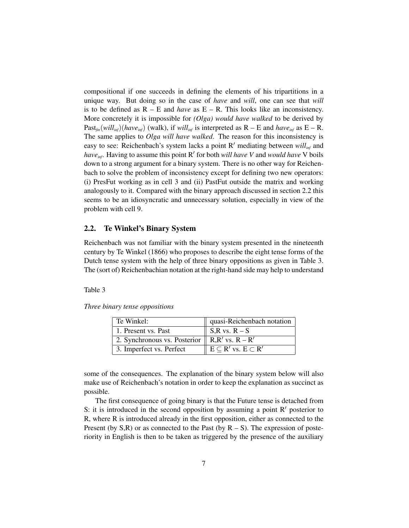compositional if one succeeds in defining the elements of his tripartitions in a unique way. But doing so in the case of *have* and *will*, one can see that *will* is to be defined as  $R - E$  and *have* as  $E - R$ . This looks like an inconsistency. More concretely it is impossible for *(Olga) would have walked* to be derived by Past<sub> $f_{\text{in}}(will_{\text{inf}})(have_{\text{inf}})$  (walk), if  $will_{\text{inf}}$  is interpreted as R – E and *have*<sub>inf</sub> as E – R.</sub> The same applies to *Olga will have walked*. The reason for this inconsistency is easy to see: Reichenbach's system lacks a point R' mediating between  $will_{inf}$  and have<sub>inf</sub>. Having to assume this point R' for both *will have* V and *would have* V boils down to a strong argument for a binary system. There is no other way for Reichenbach to solve the problem of inconsistency except for defining two new operators: (i) PresFut working as in cell 3 and (ii) PastFut outside the matrix and working analogously to it. Compared with the binary approach discussed in section 2.2 this seems to be an idiosyncratic and unnecessary solution, especially in view of the problem with cell 9.

#### 2.2. Te Winkel's Binary System

Reichenbach was not familiar with the binary system presented in the nineteenth century by Te Winkel (1866) who proposes to describe the eight tense forms of the Dutch tense system with the help of three binary oppositions as given in Table 3. The (sort of) Reichenbachian notation at the right-hand side may help to understand

Table 3

|  | Three binary tense oppositions |  |
|--|--------------------------------|--|
|  |                                |  |

| Te Winkel:                                               | quasi-Reichenbach notation            |
|----------------------------------------------------------|---------------------------------------|
| 1. Present vs. Past                                      | $S,R$ vs. $R-S$                       |
| 2. Synchronous vs. Posterior $\parallel$ R,R' vs. R – R' |                                       |
| 3. Imperfect vs. Perfect                                 | $E \subseteq R'$ vs. $E \subseteq R'$ |

some of the consequences. The explanation of the binary system below will also make use of Reichenbach's notation in order to keep the explanation as succinct as possible.

The first consequence of going binary is that the Future tense is detached from S: it is introduced in the second opposition by assuming a point  $R'$  posterior to R, where R is introduced already in the first opposition, either as connected to the Present (by  $S$ ,R) or as connected to the Past (by  $R - S$ ). The expression of posteriority in English is then to be taken as triggered by the presence of the auxiliary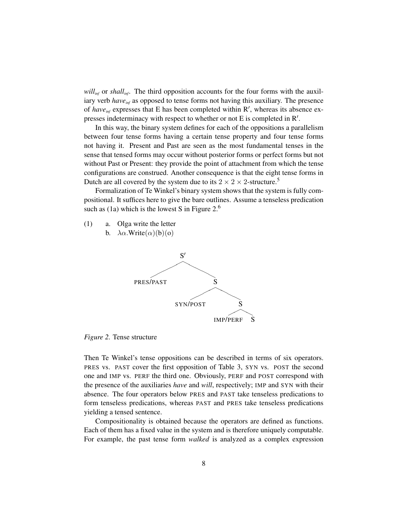*willinf* or *shallinf*. The third opposition accounts for the four forms with the auxiliary verb *have*<sub>inf</sub> as opposed to tense forms not having this auxiliary. The presence of *have*<sub>inf</sub> expresses that E has been completed within  $R'$ , whereas its absence expresses indeterminacy with respect to whether or not E is completed in  $R'$ .

In this way, the binary system defines for each of the oppositions a parallelism between four tense forms having a certain tense property and four tense forms not having it. Present and Past are seen as the most fundamental tenses in the sense that tensed forms may occur without posterior forms or perfect forms but not without Past or Present: they provide the point of attachment from which the tense configurations are construed. Another consequence is that the eight tense forms in Dutch are all covered by the system due to its  $2 \times 2 \times 2$ -structure.<sup>5</sup>

Formalization of Te Winkel's binary system shows that the system is fully compositional. It suffices here to give the bare outlines. Assume a tenseless predication such as (1a) which is the lowest S in Figure  $2<sup>6</sup>$ 

a. Olga write the letter (1)





*Figure 2.* Tense structure

Then Te Winkel's tense oppositions can be described in terms of six operators. PRES vs. PAST cover the first opposition of Table 3, SYN vs. POST the second one and IMP vs. PERF the third one. Obviously, PERF and POST correspond with the presence of the auxiliaries *have* and *will*, respectively; IMP and SYN with their absence. The four operators below PRES and PAST take tenseless predications to form tenseless predications, whereas PAST and PRES take tenseless predications yielding a tensed sentence.

Compositionality is obtained because the operators are defined as functions. Each of them has a fixed value in the system and is therefore uniquely computable. For example, the past tense form *walked* is analyzed as a complex expression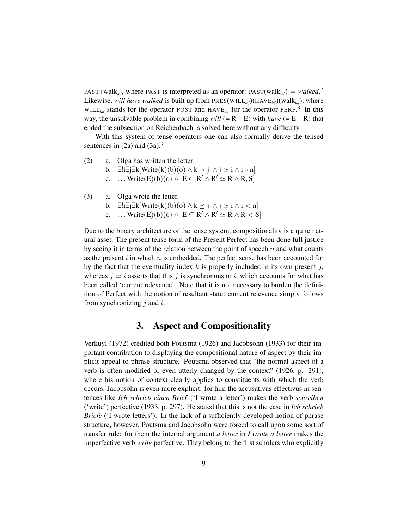PAST+walk<sub>*inf*</sub>, where PAST is interpreted as an operator:  $PAST(walk_{inf}) = walked$ .<sup>7</sup> Likewise, *will have walked* is built up from PRES(WILL*inf*)(HAVE*inf*)(walk*inf*), where WILL<sub>inf</sub> stands for the operator POST and  $HAVE_{inf}$  for the operator PERF.<sup>8</sup> In this way, the unsolvable problem in combining *will* (=  $R - E$ ) with *have* (=  $E - R$ ) that ended the subsection on Reichenbach is solved here without any difficulty.

With this system of tense operators one can also formally derive the tensed sentences in  $(2a)$  and  $(3a)$ .<sup>9</sup>

- a. Olga has written the letter (2)
	- b.  $\exists !\exists j\exists k[\text{Write}(k)(b)(o) \land k \prec j \land j \simeq i \land i \circ n]$
	- c.  $\ldots$  Write(E)(b)(o)  $\wedge$  E  $\subset$  R'  $\wedge$  R'  $\simeq$  R  $\wedge$  R, S]
- a. Olga wrote the letter. b.  $\exists !i\exists j\exists k[\text{Write}(k)(b)(o) \land k \leq j \land j \simeq i \land i < n]$ c.  $\ldots$  Write(E)(b)(o)  $\wedge$  E  $\subseteq$  R'  $\wedge$  R'  $\simeq$  R  $\wedge$  R  $\lt$  S] (3)

Due to the binary architecture of the tense system, compositionality is a quite natural asset. The present tense form of the Present Perfect has been done full justice by seeing it in terms of the relation between the point of speech  $n$  and what counts as the present  $i$  in which  $n$  is embedded. The perfect sense has been accounted for by the fact that the eventuality index  $k$  is properly included in its own present j, whereas  $j \approx i$  asserts that this j is synchronous to i, which accounts for what has been called 'current relevance'. Note that it is not necessary to burden the definition of Perfect with the notion of resultant state: current relevance simply follows from synchronizing  $j$  and  $i$ .

## 3. Aspect and Compositionality

Verkuyl (1972) credited both Poutsma (1926) and Jacobsohn (1933) for their important contribution to displaying the compositional nature of aspect by their implicit appeal to phrase structure. Poutsma observed that "the normal aspect of a verb is often modified or even utterly changed by the context" (1926, p. 291), where his notion of context clearly applies to constituents with which the verb occurs. Jacobsohn is even more explicit: for him the accusativus effectivus in sentences like *Ich schrieb einen Brief* ('I wrote a letter') makes the verb *schreiben* ('write') perfective (1933, p. 297). He stated that this is not the case in *Ich schrieb Briefe* ('I wrote letters'). In the lack of a sufficiently developed notion of phrase structure, however, Poutsma and Jacobsohn were forced to call upon some sort of transfer rule: for them the internal argument *a letter* in *I wrote a letter* makes the imperfective verb *write* perfective. They belong to the first scholars who explicitly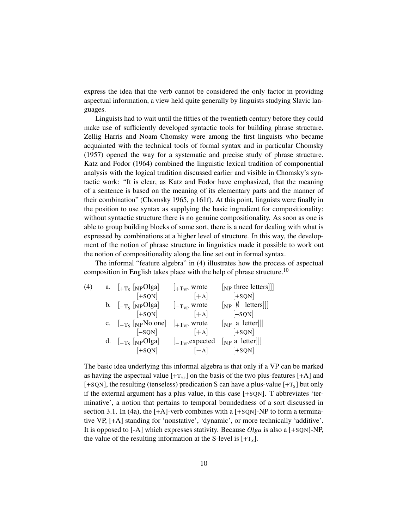express the idea that the verb cannot be considered the only factor in providing aspectual information, a view held quite generally by linguists studying Slavic languages.

Linguists had to wait until the fifties of the twentieth century before they could make use of sufficiently developed syntactic tools for building phrase structure. Zellig Harris and Noam Chomsky were among the first linguists who became acquainted with the technical tools of formal syntax and in particular Chomsky (1957) opened the way for a systematic and precise study of phrase structure. Katz and Fodor (1964) combined the linguistic lexical tradition of componential analysis with the logical tradition discussed earlier and visible in Chomsky's syntactic work: "It is clear, as Katz and Fodor have emphasized, that the meaning of a sentence is based on the meaning of its elementary parts and the manner of their combination" (Chomsky 1965, p.161f). At this point, linguists were finally in the position to use syntax as supplying the basic ingredient for compositionality: without syntactic structure there is no genuine compositionality. As soon as one is able to group building blocks of some sort, there is a need for dealing with what is expressed by combinations at a higher level of structure. In this way, the development of the notion of phrase structure in linguistics made it possible to work out the notion of compositionality along the line set out in formal syntax.

The informal "feature algebra" in (4) illustrates how the process of aspectual composition in English takes place with the help of phrase structure.<sup>10</sup>

|                                             | $\vert_{+T_{VP}}$ wrote                                                                                                                                                          | $[NP]$ three letters                                            |
|---------------------------------------------|----------------------------------------------------------------------------------------------------------------------------------------------------------------------------------|-----------------------------------------------------------------|
| $[+SQN]$                                    |                                                                                                                                                                                  | $[+SQN]$                                                        |
|                                             | $\vert_{-\mathrm{T}_{\mathrm{VP}}}$ wrote                                                                                                                                        | $\begin{bmatrix} NP & \emptyset & \text{letters} \end{bmatrix}$ |
| $\begin{bmatrix} +\text{SQN} \end{bmatrix}$ |                                                                                                                                                                                  | $[-SQN]$                                                        |
|                                             | $\vert_{+T_{VP}}$ wrote                                                                                                                                                          | $[NP \text{ a letter}]]$                                        |
| $[-SQN]$                                    |                                                                                                                                                                                  | $[+SQN]$                                                        |
|                                             | $\vert$ -T <sub>VP</sub> expected                                                                                                                                                | $\lceil NP \text{ a letter} \rceil \rceil$                      |
| $\left[+SQN\right]$                         | $[-A]$ $[+SQN]$                                                                                                                                                                  |                                                                 |
|                                             | a. $\left[1 + \frac{1}{\text{N}} \right]$ [NPOlga]<br>b. $\left[-T_s\right]\left[N_P\right]$<br>c. $\left _{-\mathrm{T}_{\mathrm{S}}} \right $ [NPNo one]<br>d. $[-T_s$ [NPOlga] | $[+A]$<br>$[+A]$<br>$[+A]$                                      |

The basic idea underlying this informal algebra is that only if a VP can be marked as having the aspectual value  $[+T_{VP}]$  on the basis of the two plus-features  $[+A]$  and [+SQN], the resulting (tenseless) predication S can have a plus-value  $[+T<sub>s</sub>]$  but only if the external argument has a plus value, in this case [+SQN]. T abbreviates 'terminative', a notion that pertains to temporal boundedness of a sort discussed in section 3.1. In (4a), the  $[+A]$ -verb combines with a  $[+SQN]$ -NP to form a terminative VP, [+A] standing for 'nonstative', 'dynamic', or more technically 'additive'. It is opposed to [-A] which expresses stativity. Because *Olga* is also a [+SQN]-NP, the value of the resulting information at the S-level is  $[+T<sub>s</sub>]$ .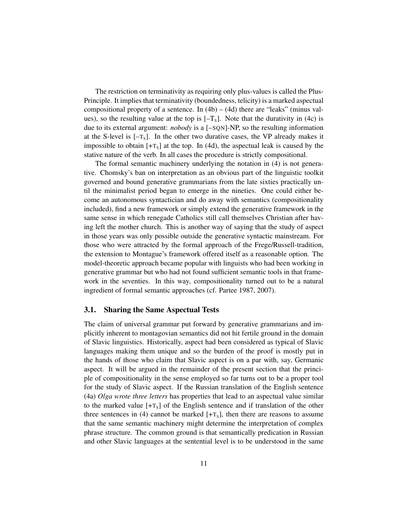The restriction on terminativity as requiring only plus-values is called the Plus-Principle. It implies that terminativity (boundedness, telicity) is a marked aspectual compositional property of a sentence. In  $(4b) - (4d)$  there are "leaks" (minus values), so the resulting value at the top is  $[-T<sub>s</sub>]$ . Note that the durativity in (4c) is due to its external argument: *nobody* is a [–SQN]-NP, so the resulting information at the S-level is  $[-T<sub>s</sub>]$ . In the other two durative cases, the VP already makes it impossible to obtain  $[+T<sub>S</sub>]$  at the top. In (4d), the aspectual leak is caused by the stative nature of the verb. In all cases the procedure is strictly compositional.

The formal semantic machinery underlying the notation in (4) is not generative. Chomsky's ban on interpretation as an obvious part of the linguistic toolkit governed and bound generative grammarians from the late sixties practically until the minimalist period began to emerge in the nineties. One could either become an autonomous syntactician and do away with semantics (compositionality included), find a new framework or simply extend the generative framework in the same sense in which renegade Catholics still call themselves Christian after having left the mother church. This is another way of saying that the study of aspect in those years was only possible outside the generative syntactic mainstream. For those who were attracted by the formal approach of the Frege/Russell-tradition, the extension to Montague's framework offered itself as a reasonable option. The model-theoretic approach became popular with linguists who had been working in generative grammar but who had not found sufficient semantic tools in that framework in the seventies. In this way, compositionality turned out to be a natural ingredient of formal semantic approaches (cf. Partee 1987, 2007).

#### 3.1. Sharing the Same Aspectual Tests

The claim of universal grammar put forward by generative grammarians and implicitly inherent to montagovian semantics did not hit fertile ground in the domain of Slavic linguistics. Historically, aspect had been considered as typical of Slavic languages making them unique and so the burden of the proof is mostly put in the hands of those who claim that Slavic aspect is on a par with, say, Germanic aspect. It will be argued in the remainder of the present section that the principle of compositionality in the sense employed so far turns out to be a proper tool for the study of Slavic aspect. If the Russian translation of the English sentence (4a) *Olga wrote three letters* has properties that lead to an aspectual value similar to the marked value  $[+T<sub>S</sub>]$  of the English sentence and if translation of the other three sentences in (4) cannot be marked  $[+T<sub>s</sub>]$ , then there are reasons to assume that the same semantic machinery might determine the interpretation of complex phrase structure. The common ground is that semantically predication in Russian and other Slavic languages at the sentential level is to be understood in the same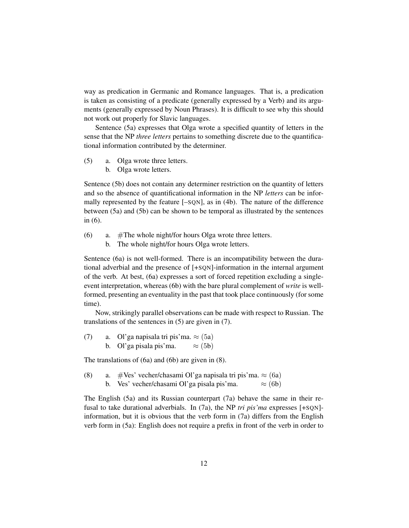way as predication in Germanic and Romance languages. That is, a predication is taken as consisting of a predicate (generally expressed by a Verb) and its arguments (generally expressed by Noun Phrases). It is difficult to see why this should not work out properly for Slavic languages.

Sentence (5a) expresses that Olga wrote a specified quantity of letters in the sense that the NP *three letters* pertains to something discrete due to the quantificational information contributed by the determiner.

- a. Olga wrote three letters. (5)
	- b. Olga wrote letters.

Sentence (5b) does not contain any determiner restriction on the quantity of letters and so the absence of quantificational information in the NP *letters* can be informally represented by the feature [–SQN], as in (4b). The nature of the difference between (5a) and (5b) can be shown to be temporal as illustrated by the sentences in (6).

- a. #The whole night/for hours Olga wrote three letters. (6)
	- b. The whole night/for hours Olga wrote letters.

Sentence (6a) is not well-formed. There is an incompatibility between the durational adverbial and the presence of [+SQN]-information in the internal argument of the verb. At best, (6a) expresses a sort of forced repetition excluding a singleevent interpretation, whereas (6b) with the bare plural complement of *write* is wellformed, presenting an eventuality in the past that took place continuously (for some time).

Now, strikingly parallel observations can be made with respect to Russian. The translations of the sentences in (5) are given in (7).

a. Ol'ga napisala tri pis'ma.  $\approx$  (5a) b. Ol'ga pisala pis'ma.  $\approx$  (5b) (7)

The translations of (6a) and (6b) are given in (8).

a. #Ves' vecher/chasami Ol'ga napisala tri pis'ma.  $\approx$  (6a) b. Ves' vecher/chasami Ol'ga pisala pis'ma.  $\approx$  (6b) (8)

The English (5a) and its Russian counterpart (7a) behave the same in their refusal to take durational adverbials. In (7a), the NP *tri pis'ma* expresses [+SQN]information, but it is obvious that the verb form in (7a) differs from the English verb form in (5a): English does not require a prefix in front of the verb in order to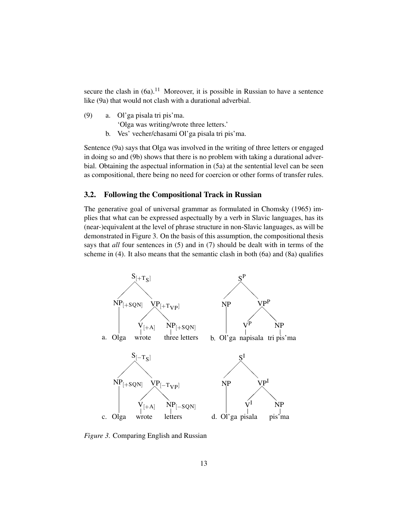secure the clash in  $(6a)$ .<sup>11</sup> Moreover, it is possible in Russian to have a sentence like (9a) that would not clash with a durational adverbial.

- a. Ol'ga pisala tri pis'ma. 'Olga was writing/wrote three letters.' (9)
	- b. Ves' vecher/chasami Ol'ga pisala tri pis'ma.

Sentence (9a) says that Olga was involved in the writing of three letters or engaged in doing so and (9b) shows that there is no problem with taking a durational adverbial. Obtaining the aspectual information in (5a) at the sentential level can be seen as compositional, there being no need for coercion or other forms of transfer rules.

#### 3.2. Following the Compositional Track in Russian

The generative goal of universal grammar as formulated in Chomsky (1965) implies that what can be expressed aspectually by a verb in Slavic languages, has its (near-)equivalent at the level of phrase structure in non-Slavic languages, as will be demonstrated in Figure 3. On the basis of this assumption, the compositional thesis says that *all* four sentences in (5) and in (7) should be dealt with in terms of the scheme in (4). It also means that the semantic clash in both (6a) and (8a) qualifies



*Figure 3.* Comparing English and Russian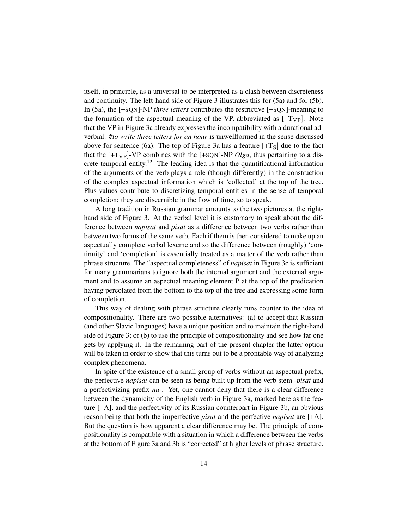itself, in principle, as a universal to be interpreted as a clash between discreteness and continuity. The left-hand side of Figure 3 illustrates this for (5a) and for (5b). In (5a), the [+SQN]-NP *three letters* contributes the restrictive [+SQN]-meaning to the formation of the aspectual meaning of the VP, abbreviated as  $[+T_{VP}]$ . Note that the VP in Figure 3a already expresses the incompatibility with a durational adverbial: *#to write three letters for an hour* is unwellformed in the sense discussed above for sentence (6a). The top of Figure 3a has a feature  $[+T<sub>S</sub>]$  due to the fact that the  $[+T_{VP}]$ -VP combines with the  $[+SQN]$ -NP *Olga*, thus pertaining to a discrete temporal entity.<sup>12</sup> The leading idea is that the quantificational information of the arguments of the verb plays a role (though differently) in the construction of the complex aspectual information which is 'collected' at the top of the tree. Plus-values contribute to discretizing temporal entities in the sense of temporal completion: they are discernible in the flow of time, so to speak.

A long tradition in Russian grammar amounts to the two pictures at the righthand side of Figure 3. At the verbal level it is customary to speak about the difference between *napisat* and *pisat* as a difference between two verbs rather than between two forms of the same verb. Each if them is then considered to make up an aspectually complete verbal lexeme and so the difference between (roughly) 'continuity' and 'completion' is essentially treated as a matter of the verb rather than phrase structure. The "aspectual completeness" of *napisat* in Figure 3c is sufficient for many grammarians to ignore both the internal argument and the external argument and to assume an aspectual meaning element P at the top of the predication having percolated from the bottom to the top of the tree and expressing some form of completion.

This way of dealing with phrase structure clearly runs counter to the idea of compositionality. There are two possible alternatives: (a) to accept that Russian (and other Slavic languages) have a unique position and to maintain the right-hand side of Figure 3; or (b) to use the principle of compositionality and see how far one gets by applying it. In the remaining part of the present chapter the latter option will be taken in order to show that this turns out to be a profitable way of analyzing complex phenomena.

In spite of the existence of a small group of verbs without an aspectual prefix, the perfective *napisat* can be seen as being built up from the verb stem *-pisat* and a perfectivizing prefix *na-*. Yet, one cannot deny that there is a clear difference between the dynamicity of the English verb in Figure 3a, marked here as the feature [+A], and the perfectivity of its Russian counterpart in Figure 3b, an obvious reason being that both the imperfective *pisat* and the perfective *napisat* are [+A]. But the question is how apparent a clear difference may be. The principle of compositionality is compatible with a situation in which a difference between the verbs at the bottom of Figure 3a and 3b is "corrected" at higher levels of phrase structure.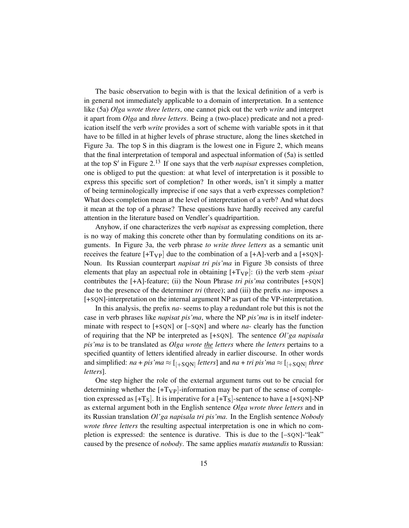The basic observation to begin with is that the lexical definition of a verb is in general not immediately applicable to a domain of interpretation. In a sentence like (5a) *Olga wrote three letters*, one cannot pick out the verb *write* and interpret it apart from *Olga* and *three letters*. Being a (two-place) predicate and not a predication itself the verb *write* provides a sort of scheme with variable spots in it that have to be filled in at higher levels of phrase structure, along the lines sketched in Figure 3a. The top S in this diagram is the lowest one in Figure 2, which means that the final interpretation of temporal and aspectual information of (5a) is settled at the top S' in Figure 2.<sup>13</sup> If one says that the verb *napisat* expresses completion, one is obliged to put the question: at what level of interpretation is it possible to express this specific sort of completion? In other words, isn't it simply a matter of being terminologically imprecise if one says that a verb expresses completion? What does completion mean at the level of interpretation of a verb? And what does it mean at the top of a phrase? These questions have hardly received any careful attention in the literature based on Vendler's quadripartition.

Anyhow, if one characterizes the verb *napisat* as expressing completion, there is no way of making this concrete other than by formulating conditions on its arguments. In Figure 3a, the verb phrase *to write three letters* as a semantic unit receives the feature  $[+T_VP]$  due to the combination of a  $[+A]$ -verb and a  $[+SQN]$ -Noun. Its Russian counterpart *napisat tri pis'ma* in Figure 3b consists of three elements that play an aspectual role in obtaining [+TVP]: (i) the verb stem *-pisat* contributes the [+A]-feature; (ii) the Noun Phrase *tri pis'ma* contributes [+SQN] due to the presence of the determiner *tri* (three); and (iii) the prefix *na*- imposes a [+SQN]-interpretation on the internal argument NP as part of the VP-interpretation.

In this analysis, the prefix *na-* seems to play a redundant role but this is not the case in verb phrases like *napisat pis'ma*, where the NP *pis'ma* is in itself indeterminate with respect to [+SQN] or [–SQN] and where *na*- clearly has the function of requiring that the NP be interpreted as [+SQN]. The sentence *Ol'ga napisala pis'ma* is to be translated as *Olga wrote the letters* where *the letters* pertains to a specified quantity of letters identified already in earlier discourse. In other words and simplified:  $na + pis'ma \approx$  [<sub>[+SQN]</sub> letters] and  $na + tri\,pis'ma \approx$  [<sub>[+SQN]</sub> three *letters*].

One step higher the role of the external argument turns out to be crucial for determining whether the  $[+T_{VP}]$ -information may be part of the sense of completion expressed as  $[+T<sub>S</sub>]$ . It is imperative for a  $[+T<sub>S</sub>]$ -sentence to have a  $[+SQN]$ -NP as external argument both in the English sentence *Olga wrote three letters* and in its Russian translation *Ol'ga napisala tri pis'ma*. In the English sentence *Nobody wrote three letters* the resulting aspectual interpretation is one in which no completion is expressed: the sentence is durative. This is due to the [–SQN]-"leak" caused by the presence of *nobody*. The same applies *mutatis mutandis* to Russian: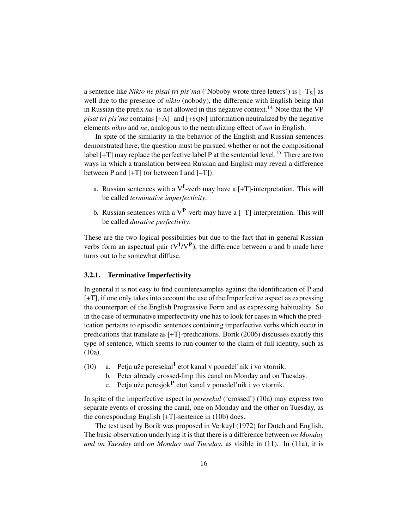a sentence like *Nikto ne pisal tri pis'ma* ('Noboby wrote three letters') is  $[-T<sub>S</sub>]$  as well due to the presence of *nikto* (nobody), the difference with English being that in Russian the prefix  $na$ - is not allowed in this negative context.<sup>14</sup> Note that the VP *pisat tri pis'ma* contains [+A]- and [+SQN]-information neutralized by the negative elements *nikto* and *ne*, analogous to the neutralizing effect of *not* in English.

In spite of the similarity in the behavior of the English and Russian sentences demonstrated here, the question must be pursued whether or not the compositional label  $[+T]$  may replace the perfective label P at the sentential level.<sup>15</sup> There are two ways in which a translation between Russian and English may reveal a difference between P and  $[+T]$  (or between I and  $[-T]$ ):

- a. Russian sentences with a  $V<sup>I</sup>$ -verb may have a [+T]-interpretation. This will be called *terminative imperfectivity*.
- b. Russian sentences with a  $V^{\text{P}}$ -verb may have a [-T]-interpretation. This will be called *durative perfectivity*.

These are the two logical possibilities but due to the fact that in general Russian verbs form an aspectual pair  $(V^{I}/V^{P})$ , the difference between a and b made here turns out to be somewhat diffuse.

#### 3.2.1. Terminative Imperfectivity

In general it is not easy to find counterexamples against the identification of P and [+T], if one only takes into account the use of the Imperfective aspect as expressing the counterpart of the English Progressive Form and as expressing habituality. So in the case of terminative imperfectivity one has to look for cases in which the predication pertains to episodic sentences containing imperfective verbs which occur in predications that translate as [+T]-predications. Borik (2006) discusses exactly this type of sentence, which seems to run counter to the claim of full identity, such as (10a).

- a. Petja uže peresekal<sup>I</sup> etot kanal v ponedel'nik i vo vtornik. (10)
	- b. Peter already crossed-Imp this canal on Monday and on Tuesday.
	- c. Petja uže peresjok<sup>P</sup> etot kanal v ponedel'nik i vo vtornik.

In spite of the imperfective aspect in *peresekal* ('crossed') (10a) may express two separate events of crossing the canal, one on Monday and the other on Tuesday, as the corresponding English [+T]-sentence in (10b) does.

The test used by Borik was proposed in Verkuyl (1972) for Dutch and English. The basic observation underlying it is that there is a difference between *on Monday and on Tuesday* and *on Monday and Tuesday*, as visible in (11). In (11a), it is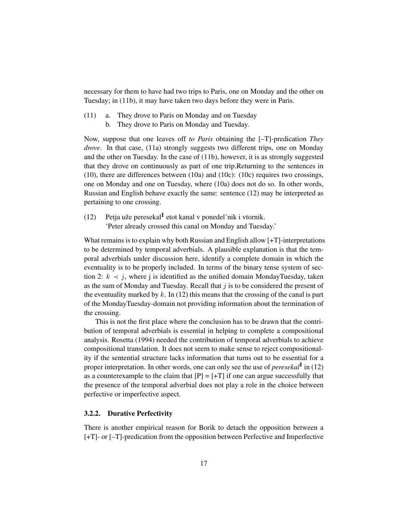necessary for them to have had two trips to Paris, one on Monday and the other on Tuesday; in (11b), it may have taken two days before they were in Paris.

- a. They drove to Paris on Monday and on Tuesday (11)
	- b. They drove to Paris on Monday and Tuesday.

Now, suppose that one leaves off *to Paris* obtaining the [–T]-predication *They drove*. In that case, (11a) strongly suggests two different trips, one on Monday and the other on Tuesday. In the case of (11b), however, it is as strongly suggested that they drove on continuously as part of one trip.Returning to the sentences in (10), there are differences between (10a) and (10c): (10c) requires two crossings, one on Monday and one on Tuesday, where (10a) does not do so. In other words, Russian and English behave exactly the same: sentence (12) may be interpreted as pertaining to one crossing.

Petja uže peresekal<sup>I</sup> etot kanal v ponedel'nik i vtornik. 'Peter already crossed this canal on Monday and Tuesday.' (12)

What remains is to explain why both Russian and English allow  $[+T]$ -interpretations to be determined by temporal adverbials. A plausible explanation is that the temporal adverbials under discussion here, identify a complete domain in which the eventuality is to be properly included. In terms of the binary tense system of section 2:  $k \prec j$ , where j is identified as the unified domain MondayTuesday, taken as the sum of Monday and Tuesday. Recall that  $j$  is to be considered the present of the eventuality marked by k. In  $(12)$  this means that the crossing of the canal is part of the MondayTuesday-domain not providing information about the termination of the crossing.

This is not the first place where the conclusion has to be drawn that the contribution of temporal adverbials is essential in helping to complete a compositional analysis. Rosetta (1994) needed the contribution of temporal adverbials to achieve compositional translation. It does not seem to make sense to reject compositionality if the sentential structure lacks information that turns out to be essential for a proper interpretation. In other words, one can only see the use of *peresekal*<sup>I</sup> in (12) as a counterexample to the claim that  $[P] = [+T]$  if one can argue successfully that the presence of the temporal adverbial does not play a role in the choice between perfective or imperfective aspect.

#### 3.2.2. Durative Perfectivity

There is another empirical reason for Borik to detach the opposition between a [+T]- or [–T]-predication from the opposition between Perfective and Imperfective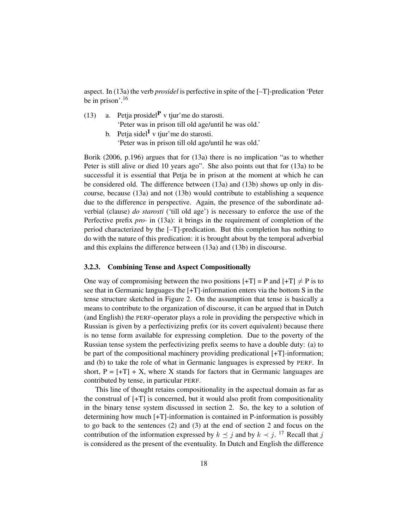aspect. In (13a) the verb *prosidel* is perfective in spite of the [–T]-predication 'Peter be in prison'.<sup>16</sup>

- a. Petja prosidel $P$  v tjur'me do starosti. 'Peter was in prison till old age/until he was old.' (13)
	- b. Petja sidel<sup>I</sup> v tjur'me do starosti. 'Peter was in prison till old age/until he was old.'

Borik (2006, p.196) argues that for (13a) there is no implication "as to whether Peter is still alive or died 10 years ago". She also points out that for (13a) to be successful it is essential that Petja be in prison at the moment at which he can be considered old. The difference between (13a) and (13b) shows up only in discourse, because (13a) and not (13b) would contribute to establishing a sequence due to the difference in perspective. Again, the presence of the subordinate adverbial (clause) *do starosti* ('till old age') is necessary to enforce the use of the Perfective prefix *pro-* in (13a): it brings in the requirement of completion of the period characterized by the [–T]-predication. But this completion has nothing to do with the nature of this predication: it is brought about by the temporal adverbial and this explains the difference between (13a) and (13b) in discourse.

#### 3.2.3. Combining Tense and Aspect Compositionally

One way of compromising between the two positions  $[+T] = P$  and  $[+T] \neq P$  is to see that in Germanic languages the [+T]-information enters via the bottom S in the tense structure sketched in Figure 2. On the assumption that tense is basically a means to contribute to the organization of discourse, it can be argued that in Dutch (and English) the PERF-operator plays a role in providing the perspective which in Russian is given by a perfectivizing prefix (or its covert equivalent) because there is no tense form available for expressing completion. Due to the poverty of the Russian tense system the perfectivizing prefix seems to have a double duty: (a) to be part of the compositional machinery providing predicational [+T]-information; and (b) to take the role of what in Germanic languages is expressed by PERF. In short,  $P = [+T] + X$ , where X stands for factors that in Germanic languages are contributed by tense, in particular PERF.

This line of thought retains compositionality in the aspectual domain as far as the construal of [+T] is concerned, but it would also profit from compositionality in the binary tense system discussed in section 2. So, the key to a solution of determining how much [+T]-information is contained in P-information is possibly to go back to the sentences (2) and (3) at the end of section 2 and focus on the contribution of the information expressed by  $k \preceq j$  and by  $k \prec j$ . <sup>17</sup> Recall that j is considered as the present of the eventuality. In Dutch and English the difference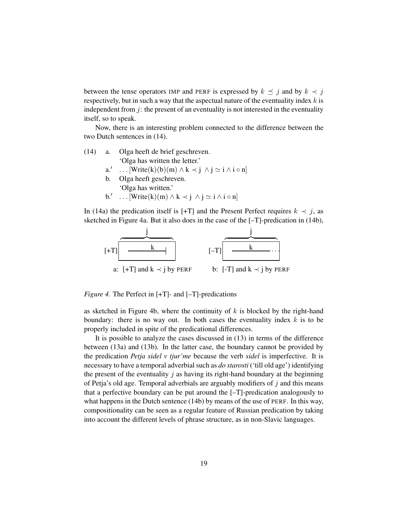between the tense operators IMP and PERF is expressed by  $k \preceq j$  and by  $k \prec j$ respectively, but in such a way that the aspectual nature of the eventuality index  $k$  is independent from  $j$ : the present of an eventuality is not interested in the eventuality itself, so to speak.

Now, there is an interesting problem connected to the difference between the two Dutch sentences in (14).

- a. Olga heeft de brief geschreven. 'Olga has written the letter.' (14)
	- $a.'$  $\ldots$  [Write(k)(b)(m)  $\wedge$  k  $\prec$  j  $\wedge$  j  $\simeq$  i  $\wedge$  i  $\circ$  n]
	- b. Olga heeft geschreven. 'Olga has written.'
	- b.' ...  $[Write(k)(m) \wedge k \prec j \wedge j \simeq i \wedge i \circ n]$

In (14a) the predication itself is [+T] and the Present Perfect requires  $k \prec j$ , as sketched in Figure 4a. But it also does in the case of the [–T]-predication in (14b),



*Figure 4.* The Perfect in [+T]- and [-T]-predications

as sketched in Figure 4b, where the continuity of  $k$  is blocked by the right-hand boundary: there is no way out. In both cases the eventuality index  $k$  is to be properly included in spite of the predicational differences.

It is possible to analyze the cases discussed in (13) in terms of the difference between (13a) and (13b). In the latter case, the boundary cannot be provided by the predication *Petja sidel v tjur'me* because the verb *sidel* is imperfective. It is necessary to have a temporal adverbial such as *do starosti* ('till old age') identifying the present of the eventuality  $j$  as having its right-hand boundary at the beginning of Petja's old age. Temporal adverbials are arguably modifiers of  $j$  and this means that a perfective boundary can be put around the [–T]-predication analogously to what happens in the Dutch sentence (14b) by means of the use of PERF. In this way, compositionality can be seen as a regular feature of Russian predication by taking into account the different levels of phrase structure, as in non-Slavic languages.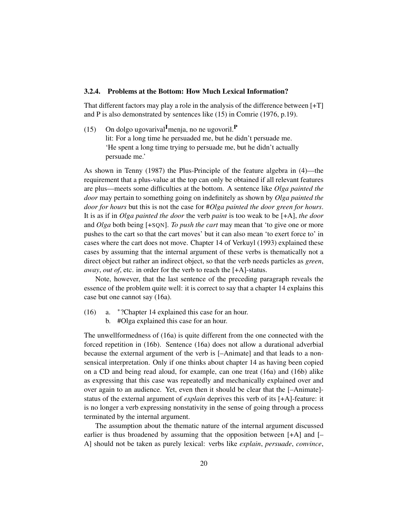#### 3.2.4. Problems at the Bottom: How Much Lexical Information?

That different factors may play a role in the analysis of the difference between [+T] and P is also demonstrated by sentences like (15) in Comrie (1976, p.19).

On dolgo ugovarival<sup>I</sup>menja, no ne ugovoril.<sup>P</sup> lit: For a long time he persuaded me, but he didn't persuade me. 'He spent a long time trying to persuade me, but he didn't actually persuade me.'  $(15)$ 

As shown in Tenny (1987) the Plus-Principle of the feature algebra in (4)—the requirement that a plus-value at the top can only be obtained if all relevant features are plus—meets some difficulties at the bottom. A sentence like *Olga painted the door* may pertain to something going on indefinitely as shown by *Olga painted the door for hours* but this is not the case for #*Olga painted the door green for hours*. It is as if in *Olga painted the door* the verb *paint* is too weak to be [+A], *the door* and *Olga* both being [+SQN]. *To push the cart* may mean that 'to give one or more pushes to the cart so that the cart moves' but it can also mean 'to exert force to' in cases where the cart does not move. Chapter 14 of Verkuyl (1993) explained these cases by assuming that the internal argument of these verbs is thematically not a direct object but rather an indirect object, so that the verb needs particles as *green*, *away*, *out of*, etc. in order for the verb to reach the [+A]-status.

Note, however, that the last sentence of the preceding paragraph reveals the essence of the problem quite well: it is correct to say that a chapter 14 explains this case but one cannot say (16a).

- a. <sup>∗</sup> ?Chapter 14 explained this case for an hour. (16)
	- b. #Olga explained this case for an hour.

The unwellformedness of (16a) is quite different from the one connected with the forced repetition in (16b). Sentence (16a) does not allow a durational adverbial because the external argument of the verb is [–Animate] and that leads to a nonsensical interpretation. Only if one thinks about chapter 14 as having been copied on a CD and being read aloud, for example, can one treat (16a) and (16b) alike as expressing that this case was repeatedly and mechanically explained over and over again to an audience. Yet, even then it should be clear that the [–Animate] status of the external argument of *explain* deprives this verb of its [+A]-feature: it is no longer a verb expressing nonstativity in the sense of going through a process terminated by the internal argument.

The assumption about the thematic nature of the internal argument discussed earlier is thus broadened by assuming that the opposition between  $[+A]$  and  $[-]$ A] should not be taken as purely lexical: verbs like *explain*, *persuade*, *convince*,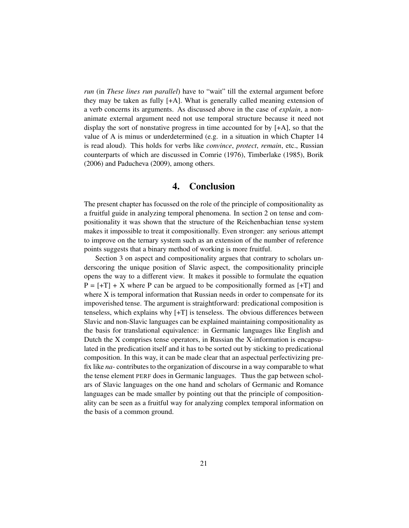*run* (in *These lines run parallel*) have to "wait" till the external argument before they may be taken as fully [+A]. What is generally called meaning extension of a verb concerns its arguments. As discussed above in the case of *explain*, a nonanimate external argument need not use temporal structure because it need not display the sort of nonstative progress in time accounted for by [+A], so that the value of A is minus or underdetermined (e.g. in a situation in which Chapter 14 is read aloud). This holds for verbs like *convince*, *protect*, *remain*, etc., Russian counterparts of which are discussed in Comrie (1976), Timberlake (1985), Borik (2006) and Paducheva (2009), among others.

### 4. Conclusion

The present chapter has focussed on the role of the principle of compositionality as a fruitful guide in analyzing temporal phenomena. In section 2 on tense and compositionality it was shown that the structure of the Reichenbachian tense system makes it impossible to treat it compositionally. Even stronger: any serious attempt to improve on the ternary system such as an extension of the number of reference points suggests that a binary method of working is more fruitful.

Section 3 on aspect and compositionality argues that contrary to scholars underscoring the unique position of Slavic aspect, the compositionality principle opens the way to a different view. It makes it possible to formulate the equation  $P = [+T] + X$  where P can be argued to be compositionally formed as  $[+T]$  and where X is temporal information that Russian needs in order to compensate for its impoverished tense. The argument is straightforward: predicational composition is tenseless, which explains why [+T] is tenseless. The obvious differences between Slavic and non-Slavic languages can be explained maintaining compositionality as the basis for translational equivalence: in Germanic languages like English and Dutch the X comprises tense operators, in Russian the X-information is encapsulated in the predication itself and it has to be sorted out by sticking to predicational composition. In this way, it can be made clear that an aspectual perfectivizing prefix like *na*- contributes to the organization of discourse in a way comparable to what the tense element PERF does in Germanic languages. Thus the gap between scholars of Slavic languages on the one hand and scholars of Germanic and Romance languages can be made smaller by pointing out that the principle of compositionality can be seen as a fruitful way for analyzing complex temporal information on the basis of a common ground.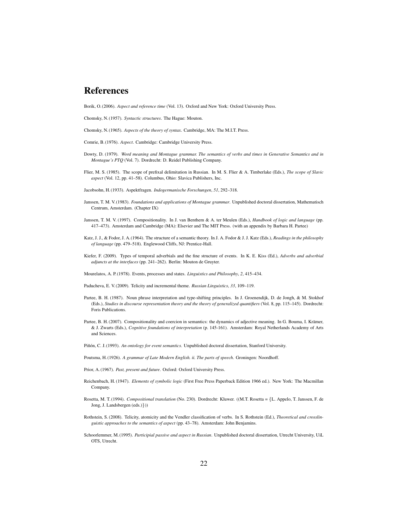## References

Borik, O. (2006). *Aspect and reference time* (Vol. 13). Oxford and New York: Oxford University Press.

Chomsky, N. (1957). *Syntactic structures*. The Hague: Mouton.

Chomsky, N. (1965). *Aspects of the theory of syntax*. Cambridge, MA: The M.I.T. Press.

Comrie, B. (1976). *Aspect*. Cambridge: Cambridge University Press.

- Dowty, D. (1979). *Word meaning and Montague grammar. The semantics of verbs and times in Generative Semantics and in Montague's PTQ* (Vol. 7). Dordrecht: D. Reidel Publishing Company.
- Flier, M. S. (1985). The scope of prefixal delimitation in Russian. In M. S. Flier & A. Timberlake (Eds.), *The scope of Slavic aspect* (Vol. 12, pp. 41–58). Columbus, Ohio: Slavica Publishers, Inc.

Jacobsohn, H. (1933). Aspektfragen. *Indogermanische Forschungen*, *51*, 292–318.

- Janssen, T. M. V. (1983). *Foundations and applications of Montague grammar*. Unpublished doctoral dissertation, Mathematisch Centrum, Amsterdam. (Chapter IX)
- Janssen, T. M. V. (1997). Compositionality. In J. van Benthem & A. ter Meulen (Eds.), *Handbook of logic and language* (pp. 417–473). Amsterdam and Cambridge (MA): Elsevier and The MIT Press. (with an appendix by Barbara H. Partee)
- Katz, J. J., & Fodor, J. A.(1964). The structure of a semantic theory. In J. A. Fodor & J. J. Katz (Eds.), *Readings in the philosophy of language* (pp. 479–518). Englewood Cliffs, NJ: Prentice-Hall.
- Kiefer, F. (2009). Types of temporal adverbials and the fine structure of events. In K. E. Kiss (Ed.), *Adverbs and adverbial adjuncts at the interfaces* (pp. 241–262). Berlin: Mouton de Gruyter.
- Mourelatos, A. P. (1978). Events, processes and states. *Linguistics and Philosophy*, *2*, 415–434.
- Paducheva, E. V. (2009). Telicity and incremental theme. *Russian Linguistics*, *33*, 109–119.
- Partee, B. H. (1987). Noun phrase interpretation and type-shifting principles. In J. Groenendijk, D. de Jongh, & M. Stokhof (Eds.), *Studies in discourse representation theory and the theory of generalized quantifiers* (Vol. 8, pp. 115–145). Dordrecht: Foris Publications.
- Partee, B. H. (2007). Compositionality and coercion in semantics: the dynamics of adjective meaning. In G. Bouma, I. Krämer, & J. Zwarts (Eds.), *Cognitive foundations of interpretation* (p. 145-161). Amsterdam: Royal Netherlands Academy of Arts and Sciences.
- Piñón, C. J. (1993). An ontology for event semantics. Unpublished doctoral dissertation, Stanford University.
- Poutsma, H. (1926). *A grammar of Late Modern English. ii. The parts of speech*. Groningen: Noordhoff.
- Prior, A. (1967). *Past, present and future*. Oxford: Oxford University Press.
- Reichenbach, H. (1947). *Elements of symbolic logic* (First Free Press Paperback Edition 1966 ed.). New York: The Macmillan Company.
- Rosetta, M. T. (1994). *Compositional translation* (No. 230). Dordrecht: Kluwer. ((M.T. Rosetta = {L. Appelo, T. Janssen, F. de Jong, J. Landsbergen (eds.)}))
- Rothstein, S. (2008). Telicity, atomicity and the Vendler classification of verbs. In S. Rothstein (Ed.), *Theoretical and crosslinguistic approaches to the semantics of aspect* (pp. 43–78). Amsterdam: John Benjamins.
- Schoorlemmer, M. (1995). *Participial passive and aspect in Russian*. Unpublished doctoral dissertation, Utrecht University, UiL OTS, Utrecht.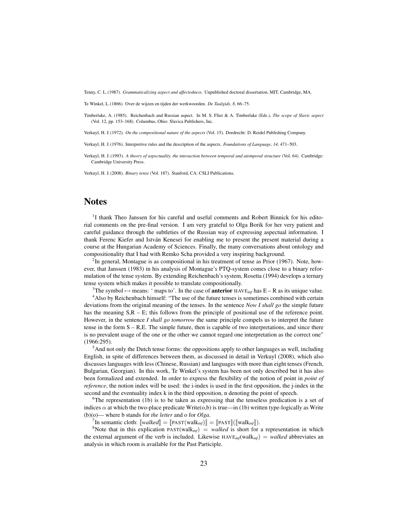Tenny, C. L. (1987). *Grammaticalizing aspect and affectedness*. Unpublished doctoral dissertation, MIT, Cambridge, MA.

Te Winkel, L. (1866). Over de wijzen en tijden der werkwoorden. *De Taalgids*, *8*, 66–75.

Timberlake, A. (1985). Reichenbach and Russian aspect. In M. S. Flier & A. Timberlake (Eds.), *The scope of Slavic aspect* (Vol. 12, pp. 153–168). Columbus, Ohio: Slavica Publishers, Inc.

Verkuyl, H. J. (1972). *On the compositional nature of the aspects* (Vol. 15). Dordrecht: D. Reidel Publishing Company.

Verkuyl, H. J. (1976). Interpretive rules and the description of the aspects. *Foundations of Language*, *14*, 471–503.

Verkuyl, H. J. (1993). *A theory of aspectuality. the interaction between temporal and atemporal structure* (Vol. 64). Cambridge: Cambridge University Press.

Verkuyl, H. J. (2008). *Binary tense* (Vol. 187). Stanford, CA: CSLI Publications.

## **Notes**

<sup>1</sup>I thank Theo Janssen for his careful and useful comments and Robert Binnick for his editorial comments on the pre-final version. I am very grateful to Olga Borik for her very patient and careful guidance through the subtleties of the Russian way of expressing aspectual information. I thank Ferenc Kiefer and István Kenesei for enabling me to present the present material during a course at the Hungarian Academy of Sciences. Finally, the many conversations about ontology and compositionality that I had with Remko Scha provided a very inspiring background.

 $2^2$ In general, Montague is as compositional in his treatment of tense as Prior (1967). Note, however, that Janssen (1983) in his analysis of Montague's PTQ-system comes close to a binary reformulation of the tense system. By extending Reichenbach's system, Rosetta (1994) develops a ternary tense system which makes it possible to translate compositionally.

<sup>3</sup>The symbol  $\rightarrow$  means: ' maps to'. In the case of **anterior** HAVE<sub>inf</sub> has E – R as its unique value. <sup>4</sup>Also by Reichenbach himself: "The use of the future tenses is sometimes combined with certain deviations from the original meaning of the tenses. In the sentence *Now I shall go* the simple future has the meaning  $S, R - E$ ; this follows from the principle of positional use of the reference point. However, in the sentence *I shall go tomorrow* the same principle compels us to interpret the future tense in the form S – R,E. The simple future, then is capable of two interpretations, and since there is no prevalent usage of the one or the other we cannot regard one interpretation as the correct one" (1966:295).

 $<sup>5</sup>$ And not only the Dutch tense forms: the oppositions apply to other languages as well, including</sup> English, in spite of differences between them, as discussed in detail in Verkuyl (2008), which also discusses languages with less (Chinese, Russian) and languages with more than eight tenses (French, Bulgarian, Georgian). In this work, Te Winkel's system has been not only described but it has also been formalized and extended. In order to express the flexibility of the notion of point in *point of reference*, the notion index will be used: the i-index is used in the first opposition, the j-index in the second and the eventuality index k in the third opposition, n denoting the point of speech.

 ${}^{6}$ The representation (1b) is to be taken as expressing that the tenseless predication is a set of indices  $\alpha$  at which the two-place predicate Write(0,b) is true—in (1b) written type-logically as Write (b)(o)— where b stands for *the letter* and o for *Olga*.

<sup>7</sup>In semantic cloth:  $[\text{walked}] = [\text{PAST}(\text{walk}_{\text{inf}})] = [\text{PAST}]([\text{walk}_{\text{inf}}])$ .

<sup>8</sup>Note that in this explication PAST(walk<sub>inf</sub>) = *walked* is short for a representation in which the external argument of the verb is included. Likewise  $HAVE_{inf}(walk_{inf}) = walked$  abbreviates an analysis in which room is available for the Past Participle.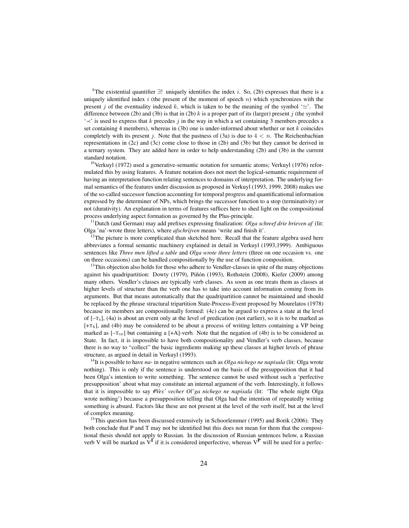<sup>9</sup>The existential quantifier  $\exists!$  uniquely identifies the index *i*. So, (2b) expresses that there is a uniquely identified index  $i$  (the present of the moment of speech  $n$ ) which synchronizes with the present j of the eventuality indexed k, which is taken to be the meaning of the symbol ' $\simeq$ '. The difference between (2b) and (3b) is that in (2b)  $k$  is a proper part of its (larger) present  $j$  (the symbol  $\leq$ ' is used to express that k precedes j in the way in which a set containing 3 members precedes a set containing 4 members), whereas in  $(3b)$  one is under-informed about whether or not k coincides completely with its present j. Note that the pastness of (3a) is due to  $4 < n$ . The Reichenbachian representations in (2c) and (3c) come close to those in (2b) and (3b) but they cannot be derived in a ternary system. They are added here in order to help understanding (2b) and (3b) in the current standard notation.

 $10$ Verkuyl (1972) used a generative-semantic notation for semantic atoms; Verkuyl (1976) reformulated this by using features. A feature notation does not meet the logical-semantic requirement of having an interpretation function relating sentences to domains of interpretation. The underlying formal semantics of the features under discussion as proposed in Verkuyl (1993, 1999, 2008) makes use of the so-called successor function accounting for temporal progress and quantificational information expressed by the determiner of NPs, which brings the successor function to a stop (terminativity) or not (durativity). An explanation in terms of features suffices here to shed light on the compositional process underlying aspect formation as governed by the Plus-principle.

<sup>11</sup>Dutch (and German) may add prefixes expressing finalization: *Olga schreef drie brieven af* (lit: Olga 'na'-wrote three letters), where *afschrijven* means 'write and finish it'.

 $12$ The picture is more complicated than sketched here. Recall that the feature algebra used here abbreviates a formal semantic machinery explained in detail in Verkuyl (1993,1999). Ambiguous sentences like *Three men lifted a table* and *Olga wrote three letters* (three on one occasion vs. one on three occasions) can be handled compositionally by the use of function composition.

<sup>13</sup>This objection also holds for those who adhere to Vendler-classes in spite of the many objections against his quadripartition: Dowty (1979), Piñón (1993), Rothstein (2008), Kiefer (2009) among many others. Vendler's classes are typically verb classes. As soon as one treats them as classes at higher levels of structure than the verb one has to take into account information coming from its arguments. But that means automatically that the quadripartition cannot be maintained and should be replaced by the phrase structural tripartition State-Process-Event proposed by Mourelatos (1978) because its members are compositionally formed: (4c) can be argued to express a state at the level of  $[-T<sub>s</sub>]$ , (4a) is about an event only at the level of predication (not earlier), so it is to be marked as [+TS], and (4b) may be considered to be about a process of writing letters containing a VP being marked as  $[-T_{VP}]$  but containing a  $[+A]$ -verb. Note that the negation of (4b) is to be considered as State. In fact, it is impossible to have both compositionality and Vendler's verb classes, because there is no way to "collect" the basic ingredients making up these classes at higher levels of phrase structure, as argued in detail in Verkuyl (1993).

<sup>14</sup>It is possible to have *na*- in negative sentences such as *Olga nichego ne napisala* (lit: Olga wrote nothing). This is only if the sentence is understood on the basis of the presupposition that it had been Olga's intention to write something. The sentence cannot be used without such a 'perfective presupposition' about what may constitute an internal argument of the verb. Interestingly, it follows that it is impossible to say *#Ves' vecher Ol'ga nichego ne napisala* (lit: 'The whole night Olga wrote nothing') because a presupposition telling that Olga had the intention of repeatedly writing something is absurd. Factors like these are not present at the level of the verb itself, but at the level of complex meaning.

<sup>15</sup>This question has been discussed extensively in Schoorlemmer (1995) and Borik (2006). They both conclude that P and T may not be identified but this does not mean for them that the compositional thesis should not apply to Russian. In the discussion of Russian sentences below, a Russian verb V will be marked as  $V^I$  if it is considered imperfective, whereas  $V^P$  will be used for a perfec-